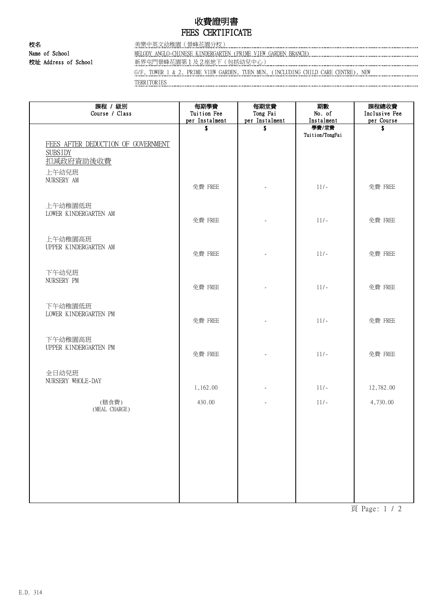## 收費證明書 FEES CERTIFICATE

校名 美樂中英文幼稚園(景峰花園分校)

Name of School MELODY ANGLO-CHINESE KINDERGARTEN (PRIME VIEW GARDEN BRANCH) 校址 Address of School **with the School 和**新界屯門景峰花園第1及2座地下(包括幼兒中心) **www.managamanagamanagamanagamanagamanagamana**gamanagamanagamanagamanagaman

G/F, TOWER 1 & 2, PRIME VIEW GARDEN, TUEN MUN, (INCLUDING CHILD CARE CENTRE), NEW TERRITORIES

課程 / 級別 Course / Class 每期學費 Tuition Fee per Instalment 每期堂費 Tong Fai per Instalment 期數 No. of Instalment 課程總收費 Inclusive Fee per Course **\$** \$ 學費/堂費 Tuition/TongFai \$ FEES AFTER DEDUCTION OF GOVERNMENT SUBSIDY 扣減政府資助後收費 上午幼兒班 NURSERY AM 免費 FREE  $\left\vert \begin{array}{ccc} - & - & - \end{array} \right\vert$  11/-  $\left\vert \begin{array}{ccc} 0 & - & - \end{array} \right\vert$  免費 FREE 上午幼稚園低班 LOWER KINDERGARTEN AM 免費 FREE  $\left\vert \begin{array}{ccc} 1 & 1 & 1 \end{array} \right\vert$  and  $\left\vert \begin{array}{ccc} 0 & 1 \end{array} \right\vert$  and  $\left\vert \begin{array}{ccc} 0 & 0 \end{array} \right\vert$   $\left\vert \begin{array}{ccc} 0 & 0 \end{array} \right\vert$   $\left\vert \begin{array}{ccc} 0 & 0 \end{array} \right\vert$   $\left\vert \begin{array}{ccc} 0 & 0 \end{array} \right\vert$   $\left\vert \begin{array}{ccc} 0 & 0 \end{array} \right\vert$   $\left\vert \$ 上午幼稚園高班 UPPER KINDERGARTEN AM 免費 FREE  $\left\vert \begin{array}{ccc} 1 & 1 & 1 \end{array} \right\vert$  and  $\left\vert \begin{array}{ccc} 0 & 1 \end{array} \right\vert$  and  $\left\vert \begin{array}{ccc} 0 & 0 \end{array} \right\vert$   $\left\vert \begin{array}{ccc} 0 & 0 \end{array} \right\vert$   $\left\vert \begin{array}{ccc} 0 & 0 \end{array} \right\vert$   $\left\vert \begin{array}{ccc} 0 & 0 \end{array} \right\vert$   $\left\vert \begin{array}{ccc} 0 & 0 \end{array} \right\vert$   $\left\vert \$ 下午幼兒班 NURSERY PM 免費 FREE | The Table | 11/- | 免費 FREE 下午幼稚園低班 LOWER KINDERGARTEN PM 免費 FREE | The Table Time | 免費 FREE 下午幼稚園高班 UPPER KINDERGARTEN PM 免費 FREE - 11/- 免費 FREE 全日幼兒班 NURSERY WHOLE-DAY 1,162.00 - 11/- 12,782.00 (MEAL CHARGE) (膳食費) 430.00 - 11/- 4,730.00

頁 Page: 1 / 2